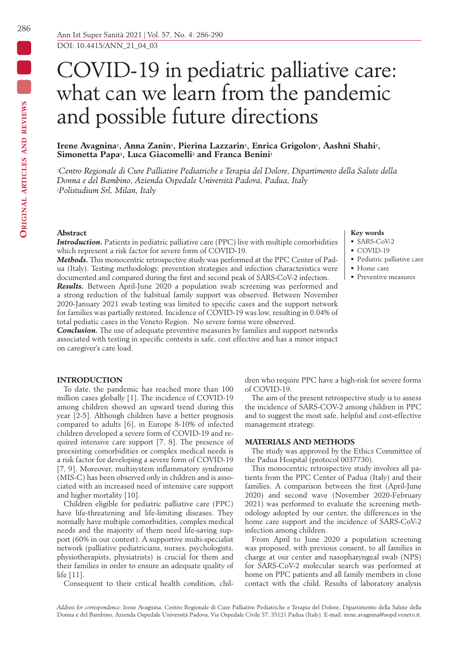# COVID-19 in pediatric palliative care: what can we learn from the pandemic and possible future directions

## Irene Avagnina<sup>1</sup>, Anna Zanin<sup>1</sup>, Pierina Lazzarin<sup>1</sup>, Enrica Grigolon<sup>1</sup>, Aashni Shahi<sup>2</sup>, Simonetta Papa<sup>2</sup>, Luca Giacomelli<sup>2</sup> and Franca Benini<sup>1</sup>

*1Centro Regionale di Cure Palliative Pediatriche e Terapia del Dolore, Dipartimento della Salute della Donna e del Bambino, Azienda Ospedale Università Padova, Padua, Italy 2Polistudium Srl, Milan, Italy*

# **Abstract**

*Introduction.* Patients in pediatric palliative care (PPC) live with multiple comorbidities which represent a risk factor for severe form of COVID-19.

*Methods.* This monocentric retrospective study was performed at the PPC Center of Padua (Italy). Testing methodology, prevention strategies and infection characteristics were documented and compared during the first and second peak of SARS-CoV-2 infection.

*Results.* Between April-June 2020 a population swab screening was performed and a strong reduction of the habitual family support was observed. Between November 2020-January 2021 swab testing was limited to specific cases and the support network for families was partially restored. Incidence of COVID-19 was low, resulting in 0.04% of total pediatic cases in the Veneto Region. No severe forms were observed.

*Conclusion.* The use of adequate preventive measures by families and support networks associated with testing in specific contests is safe, cost effective and has a minor impact on caregiver's care load.

#### **INTRODUCTION**

To date, the pandemic has reached more than 100 million cases globally [1]. The incidence of COVID-19 among children showed an upward trend during this year [2-5]. Although children have a better prognosis compared to adults [6], in Europe 8-10% of infected children developed a severe form of COVID-19 and required intensive care support [7, 8]. The presence of preexisting comorbidities or complex medical needs is a risk factor for developing a severe form of COVID-19 [7, 9]. Moreover, multisystem inflammatory syndrome (MIS-C) has been observed only in children and is associated with an increased need of intensive care support and higher mortality [10].

Children eligible for pediatric palliative care (PPC) have life-threatening and life-limiting diseases. They normally have multiple comorbidities, complex medical needs and the majority of them need life-saving support (60% in our contest). A supportive multi-specialist network (palliative pediatricians, nurses, psychologists, physiotherapists, physiatrists) is crucial for them and their families in order to ensure an adequate quality of life [11].

Consequent to their critical health condition, chil-

dren who require PPC have a high-risk for severe forms of COVID-19.

**Key words** • SARS-CoV-2 • COVID-19

• Home care • Preventive measures

• Pediatric palliative care

The aim of the present retrospective study is to assess the incidence of SARS-COV-2 among children in PPC and to suggest the most safe, helpful and cost-effective management strategy.

## **MATERIALS AND METHODS**

The study was approved by the Ethics Committee of the Padua Hospital (protocol 0037730).

This monocentric retrospective study involves all patients from the PPC Center of Padua (Italy) and their families. A comparison between the first (April-June 2020) and second wave (November 2020-February 2021) was performed to evaluate the screening methodology adopted by our center, the differences in the home care support and the incidence of SARS-CoV-2 infection among children.

From April to June 2020 a population screening was proposed, with previous consent, to all families in charge at our center and nasopharyngeal swab (NPS) for SARS-CoV-2 molecular search was performed at home on PPC patients and all family members in close contact with the child. Results of laboratory analysis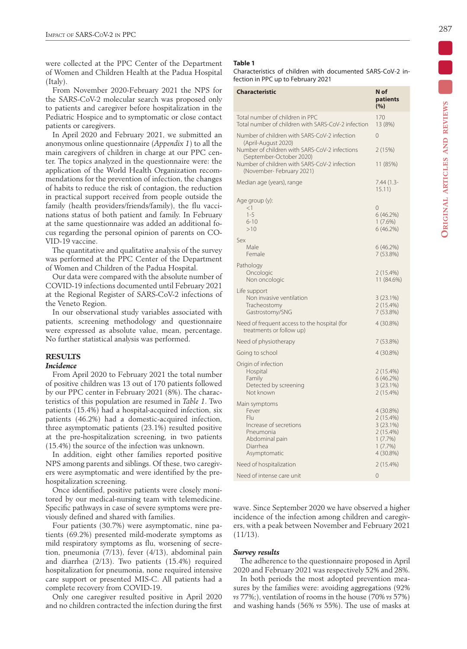were collected at the PPC Center of the Department of Women and Children Health at the Padua Hospital (Italy).

From November 2020-February 2021 the NPS for the SARS-CoV-2 molecular search was proposed only to patients and caregiver before hospitalization in the Pediatric Hospice and to symptomatic or close contact patients or caregivers.

In April 2020 and February 2021, we submitted an anonymous online questionnaire (*Appendix 1*) to all the main caregivers of children in charge at our PPC center. The topics analyzed in the questionnaire were: the application of the World Health Organization recommendations for the prevention of infection, the changes of habits to reduce the risk of contagion, the reduction in practical support received from people outside the family (health providers/friends/family), the flu vaccinations status of both patient and family. In February at the same questionnaire was added an additional focus regarding the personal opinion of parents on CO-VID-19 vaccine.

The quantitative and qualitative analysis of the survey was performed at the PPC Center of the Department of Women and Children of the Padua Hospital.

Our data were compared with the absolute number of COVID-19 infections documented until February 2021 at the Regional Register of SARS-CoV-2 infections of the Veneto Region.

In our observational study variables associated with patients, screening methodology and questionnaire were expressed as absolute value, mean, percentage. No further statistical analysis was performed.

#### **RESULTS**

## *Incidence*

From April 2020 to February 2021 the total number of positive children was 13 out of 170 patients followed by our PPC center in February 2021 (8%). The characteristics of this population are resumed in *Table 1*. Two patients (15.4%) had a hospital-acquired infection, six patients (46.2%) had a domestic-acquired infection, three asymptomatic patients (23.1%) resulted positive at the pre-hospitalization screening, in two patients (15.4%) the source of the infection was unknown.

In addition, eight other families reported positive NPS among parents and siblings. Of these, two caregivers were asymptomatic and were identified by the prehospitalization screening.

Once identified, positive patients were closely monitored by our medical-nursing team with telemedicine. Specific pathways in case of severe symptoms were previously defined and shared with families.

Four patients (30.7%) were asymptomatic, nine patients (69.2%) presented mild-moderate symptoms as mild respiratory symptoms as flu, worsening of secretion, pneumonia (7/13), fever (4/13), abdominal pain and diarrhea (2/13). Two patients (15.4%) required hospitalization for pneumonia, none required intensive care support or presented MIS-C. All patients had a complete recovery from COVID-19.

Only one caregiver resulted positive in April 2020 and no children contracted the infection during the first

## **Table 1**

Characteristics of children with documented SARS-CoV-2 infection in PPC up to February 2021

| <b>Characteristic</b>                                                                 | N of<br>patients<br>(%) |
|---------------------------------------------------------------------------------------|-------------------------|
| Total number of children in PPC<br>Total number of children with SARS-CoV-2 infection | 170<br>13 (8%)          |
| Number of children with SARS-CoV-2 infection<br>(April-August 2020)                   | 0                       |
| Number of children with SARS-CoV-2 infections<br>(September-October 2020)             | 2(15%)                  |
| Number of children with SARS-CoV-2 infection<br>(November-February 2021)              | 11 (85%)                |
| Median age (years), range                                                             | $7.44(1.3-$<br>15.11)   |
| Age group (y):<br><1                                                                  | $\Omega$                |
| $1 - 5$                                                                               | 6(46.2%)                |
| $6 - 10$                                                                              | $1(7.6\%)$              |
| >10                                                                                   | 6(46.2%)                |
| Sex<br>Male                                                                           | 6(46.2%)                |
| Female                                                                                | 7 (53.8%)               |
| Pathology                                                                             |                         |
| Oncologic                                                                             | 2 (15.4%)               |
| Non oncologic                                                                         | 11 (84.6%)              |
| Life support<br>Non invasive ventilation                                              | 3(23.1%)                |
| Tracheostomy                                                                          | 2 (15.4%)               |
| Gastrostomy/SNG                                                                       | 7 (53.8%)               |
| Need of frequent access to the hospital (for<br>treatments or follow up)              | 4 (30.8%)               |
| Need of physiotherapy                                                                 | 7 (53.8%)               |
| Going to school                                                                       | 4 (30.8%)               |
| Origin of infection                                                                   |                         |
| Hospital<br>Family                                                                    | 2 (15.4%)<br>6(46.2%)   |
| Detected by screening                                                                 | 3(23.1%)                |
| Not known                                                                             | 2 (15.4%)               |
| Main symptoms                                                                         |                         |
| Fever<br>Flu                                                                          | 4 (30.8%)<br>2 (15.4%)  |
| Increase of secretions                                                                | 3(23.1%)                |
| Pneumonia                                                                             | 2 (15.4%)               |
| Abdominal pain<br>Diarrhea                                                            | 1(7.7%)<br>1(7.7%)      |
| Asymptomatic                                                                          | 4 (30.8%)               |
| Need of hospitalization                                                               | 2 (15.4%)               |
| Need of intense care unit                                                             | $\overline{0}$          |

wave. Since September 2020 we have observed a higher incidence of the infection among children and caregivers, with a peak between November and February 2021  $(11/13)$ .

#### *Survey results*

The adherence to the questionnaire proposed in April 2020 and February 2021 was respectively 52% and 28%.

In both periods the most adopted prevention measures by the families were: avoiding aggregations (92% *vs* 77%;), ventilation of rooms in the house (70% *vs* 57%) and washing hands (56% *vs* 55%). The use of masks at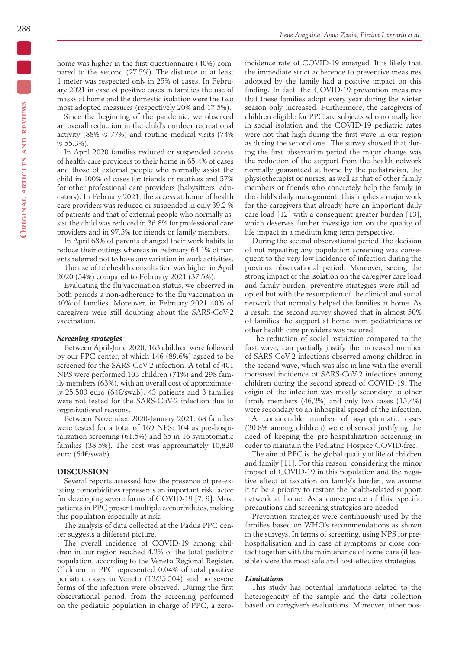home was higher in the first questionnaire (40%) compared to the second (27.5%). The distance of at least 1 meter was respected only in 25% of cases. In February 2021 in case of positive cases in families the use of masks at home and the domestic isolation were the two most adopted measures (respectively 20% and 17.5%).

Since the beginning of the pandemic, we observed an overall reduction in the child's outdoor recreational activity (88% *vs* 77%) and routine medical visits (74% *vs* 55.3%).

In April 2020 families reduced or suspended access of health-care providers to their home in 65.4% of cases and those of external people who normally assist the child in 100% of cases for friends or relatives and 57% for other professional care providers (babysitters, educators). In February 2021, the access at home of health care providers was reduced or suspended in only 39.2 % of patients and that of external people who normally assist the child was reduced in 36.8% for professional care providers and in 97.5% for friends or family members.

In April 68% of parents changed their work habits to reduce their outings whereas in February 64.1% of parents referred not to have any variation in work activities.

The use of telehealth consultation was higher in April 2020 (54%) compared to February 2021 (37.5%).

Evaluating the flu vaccination status, we observed in both periods a non-adherence to the flu vaccination in 40% of families. Moreover, in February 2021 40% of caregivers were still doubting about the SARS-CoV-2 vaccination.

#### *Screening strategies*

Between April-June 2020, 163 children were followed by our PPC center, of which 146 (89.6%) agreed to be screened for the SARS-CoV-2 infection. A total of 401 NPS were performed:103 children (71%) and 298 family members (63%), with an overall cost of approximately 25,500 euro (64€/swab). 43 patients and 3 families were not tested for the SARS-CoV-2 infection due to organizational reasons.

Between November 2020-January 2021, 68 families were tested for a total of 169 NPS: 104 as pre-hospitalization screening (61.5%) and 65 in 16 symptomatic families (38.5%). The cost was approximately 10,820 euro (64€/swab).

## **DISCUSSION**

Several reports assessed how the presence of pre-existing comorbidities represents an important risk factor for developing severe forms of COVID-19 [7, 9]. Most patients in PPC present multiple comorbidities, making this population especially at risk.

The analysis of data collected at the Padua PPC center suggests a different picture.

The overall incidence of COVID-19 among children in our region reached 4.2% of the total pediatric population, according to the Veneto Regional Register. Children in PPC represented 0.04% of total positive pediatric cases in Veneto (13/35,504) and no severe forms of the infection were observed. During the first observational period, from the screening performed on the pediatric population in charge of PPC, a zero-

incidence rate of COVID-19 emerged. It is likely that the immediate strict adherence to preventive measures adopted by the family had a positive impact on this finding. In fact, the COVID-19 prevention measures that these families adopt every year during the winter season only increased. Furthermore, the caregivers of children eligible for PPC are subjects who normally live in social isolation and the COVID-19 pediatric rates were not that high during the first wave in our region as during the second one. The survey showed that during the first observation period the major change was the reduction of the support from the health network normally guaranteed at home by the pediatrician, the physiotherapist or nurses, as well as that of other family members or friends who concretely help the family in the child's daily management. This implies a major work for the caregivers that already have an important daily care load [12] with a consequent greater burden [13], which deserves further investigation on the quality of life impact in a medium long term perspective.

During the second observational period, the decision of not repeating any population screening was consequent to the very low incidence of infection during the previous observational period. Moreover, seeing the strong impact of the isolation on the caregiver care load and family burden, preventive strategies were still adopted but with the resumption of the clinical and social network that normally helped the families at home. As a result, the second survey showed that in almost 50% of families the support at home from pediatricians or other health care providers was restored.

The reduction of social restriction compared to the first wave, can partially justify the increased number of SARS-CoV-2 infections observed among children in the second wave, which was also in line with the overall increased incidence of SARS-CoV-2 infections among children during the second spread of COVID-19. The origin of the infection was mostly secondary to other family members (46,2%) and only two cases (15,4%) were secondary to an inhospital spread of the infection.

A considerable number of asymptomatic cases (30.8% among children) were observed justifying the need of keeping the pre-hospitalization screening in order to maintain the Pediatric Hospice COVID-free.

The aim of PPC is the global quality of life of children and family [11]. For this reason, considering the minor impact of COVID-19 in this population and the negative effect of isolation on family's burden, we assume it to be a priority to restore the health-related support network at home. As a consequence of this, specific precautions and screening strategies are needed.

Prevention strategies were continuously used by the families based on WHO's recommendations as shown in the surveys. In terms of screening, using NPS for prehospitalisation and in case of symptoms or close contact together with the maintenance of home care (if feasible) were the most safe and cost-effective strategies.

#### *Limitations*

This study has potential limitations related to the heterogeneity of the sample and the data collection based on caregiver's evaluations. Moreover, other pos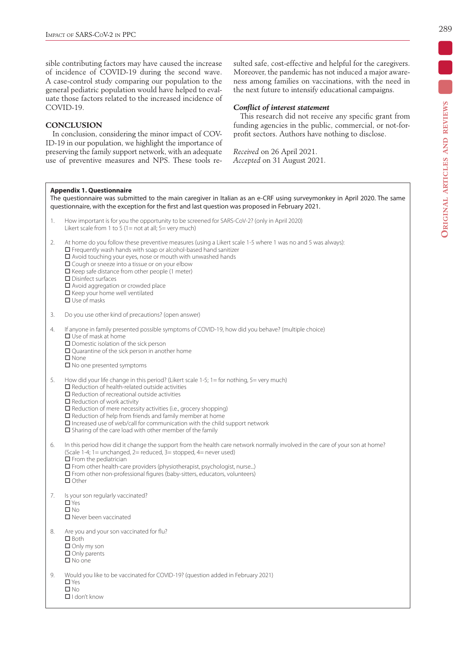sible contributing factors may have caused the increase of incidence of COVID-19 during the second wave. A case-control study comparing our population to the general pediatric population would have helped to evaluate those factors related to the increased incidence of COVID-19.

## **CONCLUSION**

In conclusion, considering the minor impact of COV-ID-19 in our population, we highlight the importance of preserving the family support network, with an adequate use of preventive measures and NPS. These tools resulted safe, cost-effective and helpful for the caregivers. Moreover, the pandemic has not induced a major awareness among families on vaccinations, with the need in the next future to intensify educational campaigns.

## *Conflict of interest statement*

This research did not receive any specific grant from funding agencies in the public, commercial, or not-forprofit sectors. Authors have nothing to disclose.

*Received* on 26 April 2021. *Accepted* on 31 August 2021.

## **Appendix 1. Questionnaire**

The questionnaire was submitted to the main caregiver in Italian as an e-CRF using surveymonkey in April 2020. The same questionnaire, with the exception for the first and last question was proposed in February 2021.

- 1. How important is for you the opportunity to be screened for SARS-CoV-2? (only in April 2020) Likert scale from 1 to 5 (1= not at all;  $5=$  very much)
- 2. At home do you follow these preventive measures (using a Likert scale 1-5 where 1 was no and 5 was always):
	- $\square$  Frequently wash hands with soap or alcohol-based hand sanitizer
	- $\Box$  Avoid touching your eyes, nose or mouth with unwashed hands
	- $\square$  Cough or sneeze into a tissue or on your elbow
	- $\square$  Keep safe distance from other people (1 meter)
	- Disinfect surfaces
	- □ Avoid aggregation or crowded place
	- $\Box$  Keep your home well ventilated
	- $\square$  Use of masks
- 3. Do you use other kind of precautions? (open answer)
- 4. If anyone in family presented possible symptoms of COVID-19, how did you behave? (multiple choice) Use of mask at home
	- $\square$  Domestic isolation of the sick person
	- □ Quarantine of the sick person in another home
	- $\square$  None
	- $\square$  No one presented symptoms
- 5. How did your life change in this period? (Likert scale 1-5; 1= for nothing, 5= very much)  $\square$  Reduction of health-related outside activities
	- $\square$  Reduction of recreational outside activities
	- $\Box$  Reduction of work activity
	- $\square$  Reduction of mere necessity activities (i.e., grocery shopping)
	- $\square$  Reduction of help from friends and family member at home
	- $\Box$  Increased use of web/call for communication with the child support network
	- $\square$  Sharing of the care load with other member of the family
- 6. In this period how did it change the support from the health care network normally involved in the care of your son at home? (Scale 1-4; 1 = unchanged, 2 = reduced,  $3$  = stopped, 4 = never used)
	- $\Box$  From the pediatrician
	- From other health-care providers (physiotherapist, psychologist, nurse...)
	- $\square$  From other non-professional figures (baby-sitters, educators, volunteers)
	- □ Other
- 7. Is your son regularly vaccinated?
	- □ Yes
	- $\n **INO**\n$
	- Never been vaccinated
- 8. Are you and your son vaccinated for flu?
	- □ Both
	- Only my son
	- Only parents
	- $\square$  No one
- 9. Would you like to be vaccinated for COVID-19? (question added in February 2021) □ Yes  $\n **II**$  No
	- I don't know